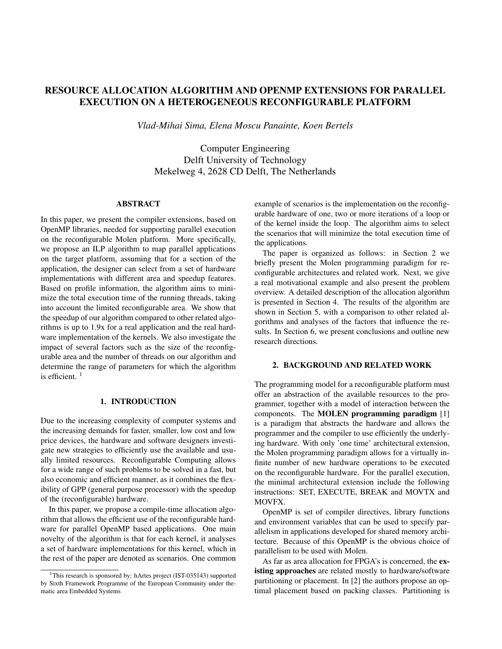# RESOURCE ALLOCATION ALGORITHM AND OPENMP EXTENSIONS FOR PARALLEL EXECUTION ON A HETEROGENEOUS RECONFIGURABLE PLATFORM

*Vlad-Mihai Sima, Elena Moscu Panainte, Koen Bertels*

Computer Engineering Delft University of Technology Mekelweg 4, 2628 CD Delft, The Netherlands

### ABSTRACT

In this paper, we present the compiler extensions, based on OpenMP libraries, needed for supporting parallel execution on the reconfigurable Molen platform. More specifically, we propose an ILP algorithm to map parallel applications on the target platform, assuming that for a section of the application, the designer can select from a set of hardware implementations with different area and speedup features. Based on profile information, the algorithm aims to minimize the total execution time of the running threads, taking into account the limited reconfigurable area. We show that the speedup of our algorithm compared to other related algorithms is up to 1.9x for a real application and the real hardware implementation of the kernels. We also investigate the impact of several factors such as the size of the reconfigurable area and the number of threads on our algorithm and determine the range of parameters for which the algorithm is efficient.  $1$ 

# 1. INTRODUCTION

Due to the increasing complexity of computer systems and the increasing demands for faster, smaller, low cost and low price devices, the hardware and software designers investigate new strategies to efficiently use the available and usually limited resources. Reconfigurable Computing allows for a wide range of such problems to be solved in a fast, but also economic and efficient manner, as it combines the flexibility of GPP (general purpose processor) with the speedup of the (reconfigurable) hardware.

In this paper, we propose a compile-time allocation algorithm that allows the efficient use of the reconfigurable hardware for parallel OpenMP based applications. One main novelty of the algorithm is that for each kernel, it analyses a set of hardware implementations for this kernel, which in the rest of the paper are denoted as scenarios. One common example of scenarios is the implementation on the reconfigurable hardware of one, two or more iterations of a loop or of the kernel inside the loop. The algorithm aims to select the scenarios that will minimize the total execution time of the applications.

The paper is organized as follows: in Section 2 we briefly present the Molen programming paradigm for reconfigurable architectures and related work. Next, we give a real motivational example and also present the problem overview. A detailed description of the allocation algorithm is presented in Section 4. The results of the algorithm are shown in Section 5, with a comparison to other related algorithms and analyses of the factors that influence the results. In Section 6, we present conclusions and outline new research directions.

### 2. BACKGROUND AND RELATED WORK

The programming model for a reconfigurable platform must offer an abstraction of the available resources to the programmer, together with a model of interaction between the components. The MOLEN programming paradigm [1] is a paradigm that abstracts the hardware and allows the programmer and the compiler to use efficiently the underlying hardware. With only 'one time' architectural extension, the Molen programming paradigm allows for a virtually infinite number of new hardware operations to be executed on the reconfigurable hardware. For the parallel execution, the minimal architectural extension include the following instructions: SET, EXECUTE, BREAK and MOVTX and MOVFX.

OpenMP is set of compiler directives, library functions and environment variables that can be used to specify parallelism in applications developed for shared memory architecture. Because of this OpenMP is the obvious choice of parallelism to be used with Molen.

As far as area allocation for FPGA's is concerned, the existing approaches are related mostly to hardware/software partitioning or placement. In [2] the authors propose an optimal placement based on packing classes. Partitioning is

<sup>&</sup>lt;sup>1</sup>This research is sponsored by: hArtes project (IST-035143) supported by Sixth Framework Programme of the European Community under thematic area Embedded Systems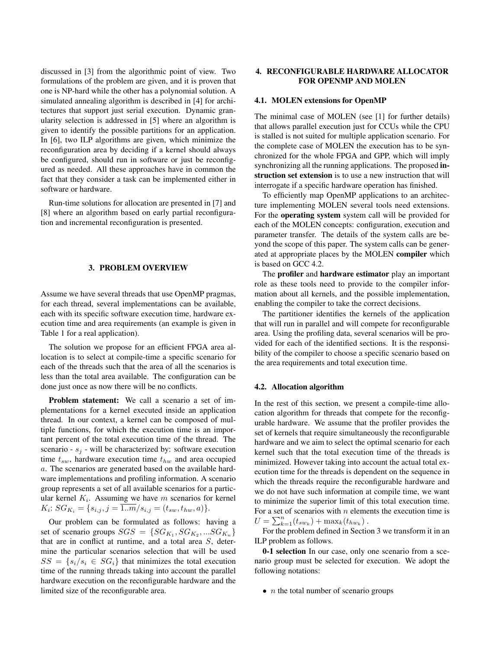discussed in [3] from the algorithmic point of view. Two formulations of the problem are given, and it is proven that one is NP-hard while the other has a polynomial solution. A simulated annealing algorithm is described in [4] for architectures that support just serial execution. Dynamic granularity selection is addressed in [5] where an algorithm is given to identify the possible partitions for an application. In [6], two ILP algorithms are given, which minimize the reconfiguration area by deciding if a kernel should always be configured, should run in software or just be reconfigured as needed. All these approaches have in common the fact that they consider a task can be implemented either in software or hardware.

Run-time solutions for allocation are presented in [7] and [8] where an algorithm based on early partial reconfiguration and incremental reconfiguration is presented.

#### 3. PROBLEM OVERVIEW

Assume we have several threads that use OpenMP pragmas, for each thread, several implementations can be available, each with its specific software execution time, hardware execution time and area requirements (an example is given in Table 1 for a real application).

The solution we propose for an efficient FPGA area allocation is to select at compile-time a specific scenario for each of the threads such that the area of all the scenarios is less than the total area available. The configuration can be done just once as now there will be no conflicts.

Problem statement: We call a scenario a set of implementations for a kernel executed inside an application thread. In our context, a kernel can be composed of multiple functions, for which the execution time is an important percent of the total execution time of the thread. The scenario -  $s_j$  - will be characterized by: software execution time  $t_{sw}$ , hardware execution time  $t_{hw}$  and area occupied a. The scenarios are generated based on the available hardware implementations and profiling information. A scenario group represents a set of all available scenarios for a particular kernel  $K_i$ . Assuming we have m scenarios for kernel  $K_i: SG_{K_i} = \{s_{i,j}, j = \overline{1..m}/s_{i,j} = (t_{sw}, t_{hw}, a)\}.$ 

Our problem can be formulated as follows: having a set of scenario groups  $SGS = \{SG_{K_1}, SG_{K_2}, ... SG_{K_n}\}\$ that are in conflict at runtime, and a total area S, determine the particular scenarios selection that will be used  $SS = \{s_i/s_i \in SG_i\}$  that minimizes the total execution time of the running threads taking into account the parallel hardware execution on the reconfigurable hardware and the limited size of the reconfigurable area.

## 4. RECONFIGURABLE HARDWARE ALLOCATOR FOR OPENMP AND MOLEN

#### 4.1. MOLEN extensions for OpenMP

The minimal case of MOLEN (see [1] for further details) that allows parallel execution just for CCUs while the CPU is stalled is not suited for multiple application scenario. For the complete case of MOLEN the execution has to be synchronized for the whole FPGA and GPP, which will imply synchronizing all the running applications. The proposed instruction set extension is to use a new instruction that will interrogate if a specific hardware operation has finished.

To efficiently map OpenMP applications to an architecture implementing MOLEN several tools need extensions. For the operating system system call will be provided for each of the MOLEN concepts: configuration, execution and parameter transfer. The details of the system calls are beyond the scope of this paper. The system calls can be generated at appropriate places by the MOLEN compiler which is based on GCC 4.2.

The **profiler** and **hardware estimator** play an important role as these tools need to provide to the compiler information about all kernels, and the possible implementation, enabling the compiler to take the correct decisions.

The partitioner identifies the kernels of the application that will run in parallel and will compete for reconfigurable area. Using the profiling data, several scenarios will be provided for each of the identified sections. It is the responsibility of the compiler to choose a specific scenario based on the area requirements and total execution time.

### 4.2. Allocation algorithm

In the rest of this section, we present a compile-time allocation algorithm for threads that compete for the reconfigurable hardware. We assume that the profiler provides the set of kernels that require simultaneously the reconfigurable hardware and we aim to select the optimal scenario for each kernel such that the total execution time of the threads is minimized. However taking into account the actual total execution time for the threads is dependent on the sequence in which the threads require the reconfigurable hardware and we do not have such information at compile time, we want to minimize the superior limit of this total execution time. For a set of scenarios with  $n$  elements the execution time is  $U = \sum_{k=1}^{n} (t_{sw_k}) + \max_k (t_{hw_k}).$ 

For the problem defined in Section 3 we transform it in an ILP problem as follows.

0-1 selection In our case, only one scenario from a scenario group must be selected for execution. We adopt the following notations:

 $\bullet$  *n* the total number of scenario groups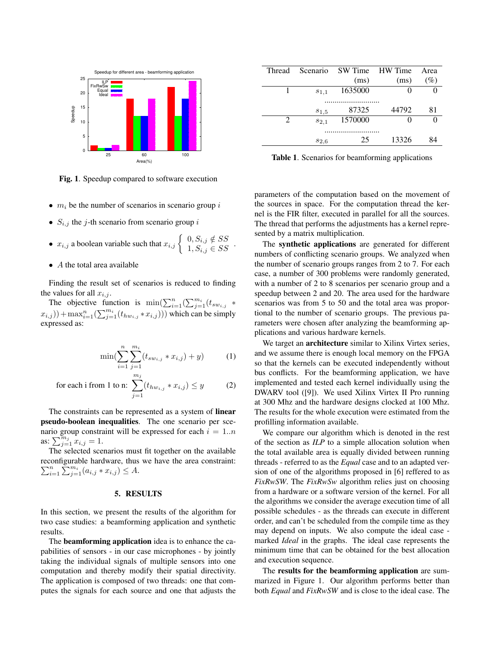

Fig. 1. Speedup compared to software execution

- $m_i$  be the number of scenarios in scenario group i
- $S_{i,j}$  the j-th scenario from scenario group i
- $x_{i,j}$  a boolean variable such that  $x_{i,j} \begin{cases} 0, S_{i,j} \notin SS \\ 1, S_{i,j} \in SS \end{cases}$ .
- $\bullet$  A the total area available

Finding the result set of scenarios is reduced to finding the values for all  $x_{i,j}$ .

The objective function is  $\min(\sum_{i=1}^n (\sum_{j=1}^{m_i} (t_{sw_{i,j}})^*$  $(x_{i,j})$ ) + max $_{i=1}^n(\sum_{j=1}^{m_i} (t_{hw_{i,j}} * x_{i,j}))$ ) which can be simply expressed as:

$$
\min(\sum_{i=1}^{n} \sum_{j=1}^{m_i} (t_{sw_{i,j}} * x_{i,j}) + y)
$$
 (1)

for each i from 1 to n: 
$$
\sum_{j=1}^{m_j} (t_{hw_{i,j}} * x_{i,j}) \leq y \tag{2}
$$

The constraints can be represented as a system of **linear** pseudo-boolean inequalities. The one scenario per scenario group constraint will be expressed for each  $i = 1..n$ as:  $\sum_{j=1}^{m_j} x_{i,j} = 1$ .

The selected scenarios must fit together on the available reconfigurable hardware, thus we have the area constraint:  $\sum_{i=1}^{n} \sum_{j=1}^{m_i} (a_{i,j} * x_{i,j}) \leq A.$ 

#### 5. RESULTS

In this section, we present the results of the algorithm for two case studies: a beamforming application and synthetic results.

The beamforming application idea is to enhance the capabilities of sensors - in our case microphones - by jointly taking the individual signals of multiple sensors into one computation and thereby modify their spatial directivity. The application is composed of two threads: one that computes the signals for each source and one that adjusts the

| Thread         | Scenario  | SW Time | <b>HW</b> Time | Area            |
|----------------|-----------|---------|----------------|-----------------|
|                |           | (ms)    | (ms)           | $\mathscr{D}_o$ |
|                | $s_{1,1}$ | 1635000 |                |                 |
|                |           |         |                |                 |
|                | $s_{1,5}$ | 87325   | 44792          | 81              |
| $\mathfrak{D}$ | $S_{2,1}$ | 1570000 | 0              |                 |
|                |           |         |                |                 |
|                | $s_{2,6}$ | 25      | 13326          | 84              |

Table 1. Scenarios for beamforming applications

parameters of the computation based on the movement of the sources in space. For the computation thread the kernel is the FIR filter, executed in parallel for all the sources. The thread that performs the adjustments has a kernel represented by a matrix multiplication.

The synthetic applications are generated for different numbers of conflicting scenario groups. We analyzed when the number of scenario groups ranges from 2 to 7. For each case, a number of 300 problems were randomly generated, with a number of 2 to 8 scenarios per scenario group and a speedup between 2 and 20. The area used for the hardware scenarios was from 5 to 50 and the total area was proportional to the number of scenario groups. The previous parameters were chosen after analyzing the beamforming applications and various hardware kernels.

We target an **architecture** similar to Xilinx Virtex series, and we assume there is enough local memory on the FPGA so that the kernels can be executed independently without bus conflicts. For the beamforming application, we have implemented and tested each kernel individually using the DWARV tool ([9]). We used Xilinx Virtex II Pro running at 300 Mhz and the hardware designs clocked at 100 Mhz. The results for the whole execution were estimated from the profilling information available.

We compare our algorithm which is denoted in the rest of the section as *ILP* to a simple allocation solution when the total available area is equally divided between running threads - referred to as the *Equal* case and to an adapted version of one of the algorithms proposed in [6] reffered to as *FixRwSW*. The *FixRwSw* algorithm relies just on choosing from a hardware or a software version of the kernel. For all the algorithms we consider the average execution time of all possible schedules - as the threads can execute in different order, and can't be scheduled from the compile time as they may depend on inputs. We also compute the ideal case marked *Ideal* in the graphs. The ideal case represents the minimum time that can be obtained for the best allocation and execution sequence.

The results for the beamforming application are summarized in Figure 1. Our algorithm performs better than both *Equal* and *FixRwSW* and is close to the ideal case. The